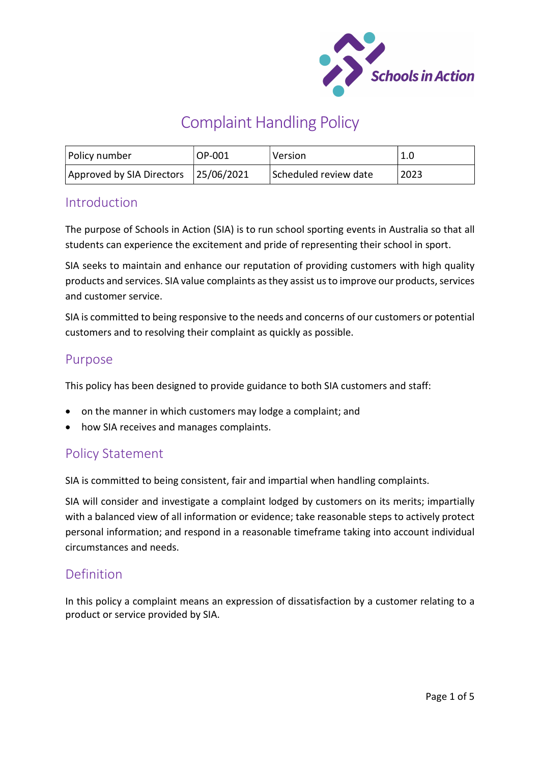

# Complaint Handling Policy

| Policy number                        | OP-001 | l Version             | 1.0  |
|--------------------------------------|--------|-----------------------|------|
| Approved by SIA Directors 25/06/2021 |        | Scheduled review date | 2023 |

## **Introduction**

The purpose of Schools in Action (SIA) is to run school sporting events in Australia so that all students can experience the excitement and pride of representing their school in sport.

SIA seeks to maintain and enhance our reputation of providing customers with high quality products and services. SIA value complaints as they assist us to improve our products, services and customer service.

SIA is committed to being responsive to the needs and concerns of our customers or potential customers and to resolving their complaint as quickly as possible.

## Purpose

This policy has been designed to provide guidance to both SIA customers and staff:

- on the manner in which customers may lodge a complaint; and
- how SIA receives and manages complaints.

## Policy Statement

SIA is committed to being consistent, fair and impartial when handling complaints.

SIA will consider and investigate a complaint lodged by customers on its merits; impartially with a balanced view of all information or evidence; take reasonable steps to actively protect personal information; and respond in a reasonable timeframe taking into account individual circumstances and needs.

## Definition

In this policy a complaint means an expression of dissatisfaction by a customer relating to a product or service provided by SIA.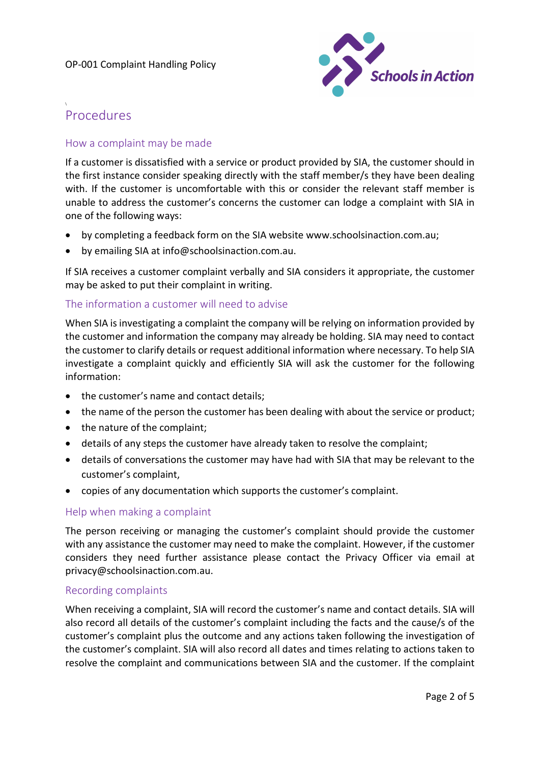

## Procedures

\

### How a complaint may be made

If a customer is dissatisfied with a service or product provided by SIA, the customer should in the first instance consider speaking directly with the staff member/s they have been dealing with. If the customer is uncomfortable with this or consider the relevant staff member is unable to address the customer's concerns the customer can lodge a complaint with SIA in one of the following ways:

- by completing a feedback form on the SIA website www.schoolsinaction.com.au;
- by emailing SIA at info@schoolsinaction.com.au.

If SIA receives a customer complaint verbally and SIA considers it appropriate, the customer may be asked to put their complaint in writing.

#### The information a customer will need to advise

When SIA is investigating a complaint the company will be relying on information provided by the customer and information the company may already be holding. SIA may need to contact the customer to clarify details or request additional information where necessary. To help SIA investigate a complaint quickly and efficiently SIA will ask the customer for the following information:

- the customer's name and contact details:
- the name of the person the customer has been dealing with about the service or product;
- the nature of the complaint;
- details of any steps the customer have already taken to resolve the complaint;
- details of conversations the customer may have had with SIA that may be relevant to the customer's complaint,
- copies of any documentation which supports the customer's complaint.

#### Help when making a complaint

The person receiving or managing the customer's complaint should provide the customer with any assistance the customer may need to make the complaint. However, if the customer considers they need further assistance please contact the Privacy Officer via email at privacy@schoolsinaction.com.au.

#### Recording complaints

When receiving a complaint, SIA will record the customer's name and contact details. SIA will also record all details of the customer's complaint including the facts and the cause/s of the customer's complaint plus the outcome and any actions taken following the investigation of the customer's complaint. SIA will also record all dates and times relating to actions taken to resolve the complaint and communications between SIA and the customer. If the complaint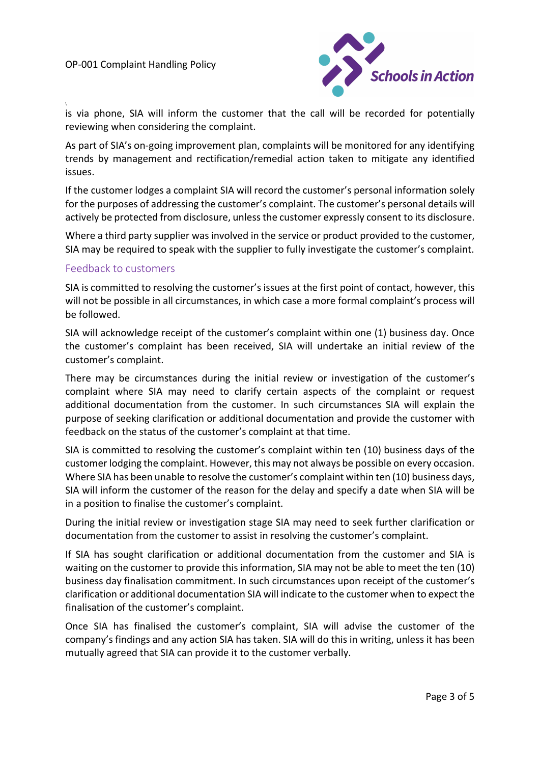\



is via phone, SIA will inform the customer that the call will be recorded for potentially reviewing when considering the complaint.

As part of SIA's on-going improvement plan, complaints will be monitored for any identifying trends by management and rectification/remedial action taken to mitigate any identified issues.

If the customer lodges a complaint SIA will record the customer's personal information solely for the purposes of addressing the customer's complaint. The customer's personal details will actively be protected from disclosure, unless the customer expressly consent to its disclosure.

Where a third party supplier was involved in the service or product provided to the customer, SIA may be required to speak with the supplier to fully investigate the customer's complaint.

#### Feedback to customers

SIA is committed to resolving the customer's issues at the first point of contact, however, this will not be possible in all circumstances, in which case a more formal complaint's process will be followed.

SIA will acknowledge receipt of the customer's complaint within one (1) business day. Once the customer's complaint has been received, SIA will undertake an initial review of the customer's complaint.

There may be circumstances during the initial review or investigation of the customer's complaint where SIA may need to clarify certain aspects of the complaint or request additional documentation from the customer. In such circumstances SIA will explain the purpose of seeking clarification or additional documentation and provide the customer with feedback on the status of the customer's complaint at that time.

SIA is committed to resolving the customer's complaint within ten (10) business days of the customer lodging the complaint. However, this may not always be possible on every occasion. Where SIA has been unable to resolve the customer's complaint within ten (10) business days, SIA will inform the customer of the reason for the delay and specify a date when SIA will be in a position to finalise the customer's complaint.

During the initial review or investigation stage SIA may need to seek further clarification or documentation from the customer to assist in resolving the customer's complaint.

If SIA has sought clarification or additional documentation from the customer and SIA is waiting on the customer to provide this information, SIA may not be able to meet the ten (10) business day finalisation commitment. In such circumstances upon receipt of the customer's clarification or additional documentation SIA will indicate to the customer when to expect the finalisation of the customer's complaint.

Once SIA has finalised the customer's complaint, SIA will advise the customer of the company's findings and any action SIA has taken. SIA will do this in writing, unless it has been mutually agreed that SIA can provide it to the customer verbally.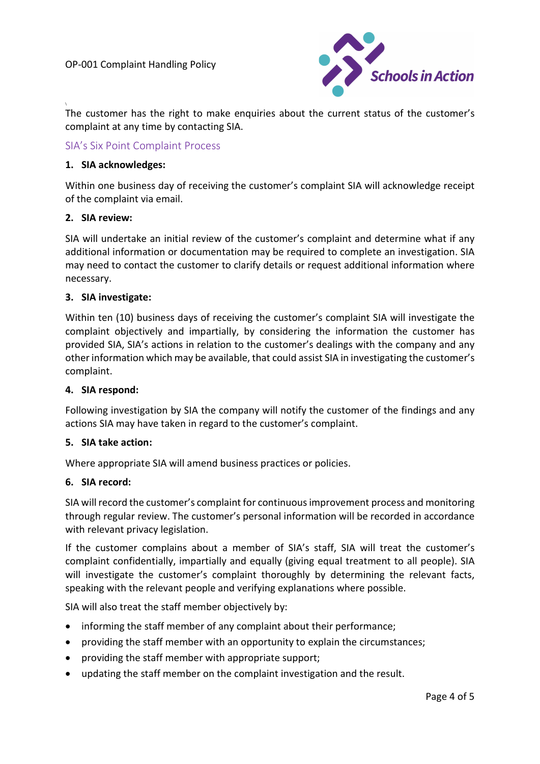

The customer has the right to make enquiries about the current status of the customer's complaint at any time by contacting SIA.

#### SIA's Six Point Complaint Process

#### 1. SIA acknowledges:

Within one business day of receiving the customer's complaint SIA will acknowledge receipt of the complaint via email.

#### 2. SIA review:

\

SIA will undertake an initial review of the customer's complaint and determine what if any additional information or documentation may be required to complete an investigation. SIA may need to contact the customer to clarify details or request additional information where necessary.

#### 3. SIA investigate:

Within ten (10) business days of receiving the customer's complaint SIA will investigate the complaint objectively and impartially, by considering the information the customer has provided SIA, SIA's actions in relation to the customer's dealings with the company and any other information which may be available, that could assist SIA in investigating the customer's complaint.

#### 4. SIA respond:

Following investigation by SIA the company will notify the customer of the findings and any actions SIA may have taken in regard to the customer's complaint.

#### 5. SIA take action:

Where appropriate SIA will amend business practices or policies.

#### 6. SIA record:

SIA will record the customer's complaint for continuous improvement process and monitoring through regular review. The customer's personal information will be recorded in accordance with relevant privacy legislation.

If the customer complains about a member of SIA's staff, SIA will treat the customer's complaint confidentially, impartially and equally (giving equal treatment to all people). SIA will investigate the customer's complaint thoroughly by determining the relevant facts, speaking with the relevant people and verifying explanations where possible.

SIA will also treat the staff member objectively by:

- informing the staff member of any complaint about their performance;
- providing the staff member with an opportunity to explain the circumstances;
- providing the staff member with appropriate support;
- updating the staff member on the complaint investigation and the result.